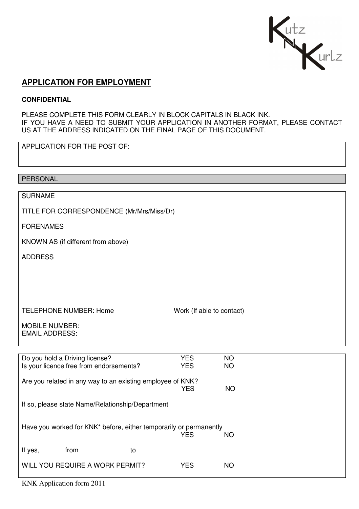

# **APPLICATION FOR EMPLOYMENT**

### **CONFIDENTIAL**

PLEASE COMPLETE THIS FORM CLEARLY IN BLOCK CAPITALS IN BLACK INK. IF YOU HAVE A NEED TO SUBMIT YOUR APPLICATION IN ANOTHER FORMAT, PLEASE CONTACT US AT THE ADDRESS INDICATED ON THE FINAL PAGE OF THIS DOCUMENT.

APPLICATION FOR THE POST OF:

PERSONAL SURNAME TITLE FOR CORRESPONDENCE (Mr/Mrs/Miss/Dr) FORENAMES KNOWN AS (if different from above) ADDRESS TELEPHONE NUMBER: Home Work (If able to contact) MOBILE NUMBER:

EMAIL ADDRESS:

| Do you hold a Driving license?<br><b>YES</b>                       |    |            | <b>NO</b> |  |
|--------------------------------------------------------------------|----|------------|-----------|--|
| Is your licence free from endorsements?                            |    | <b>YES</b> | <b>NO</b> |  |
|                                                                    |    |            |           |  |
| Are you related in any way to an existing employee of KNK?         |    |            |           |  |
|                                                                    |    | <b>YES</b> | ΝO        |  |
|                                                                    |    |            |           |  |
| If so, please state Name/Relationship/Department                   |    |            |           |  |
|                                                                    |    |            |           |  |
|                                                                    |    |            |           |  |
| Have you worked for KNK* before, either temporarily or permanently |    |            |           |  |
|                                                                    |    | <b>YES</b> | <b>NO</b> |  |
|                                                                    |    |            |           |  |
| If yes,<br>from                                                    | to |            |           |  |
| WILL YOU REQUIRE A WORK PERMIT?                                    |    | <b>YES</b> | <b>NO</b> |  |
|                                                                    |    |            |           |  |
|                                                                    |    |            |           |  |

KNK Application form 2011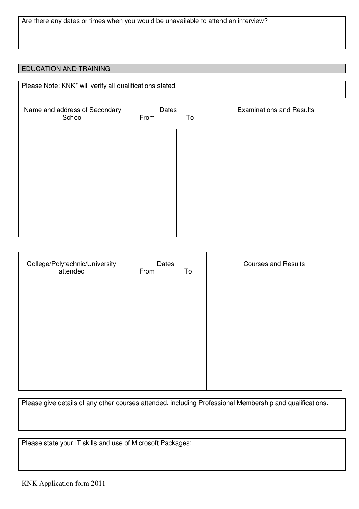### EDUCATION AND TRAINING

| Please Note: KNK* will verify all qualifications stated. |                     |  |                                 |  |
|----------------------------------------------------------|---------------------|--|---------------------------------|--|
| Name and address of Secondary<br>School                  | Dates<br>From<br>To |  | <b>Examinations and Results</b> |  |
|                                                          |                     |  |                                 |  |
|                                                          |                     |  |                                 |  |
|                                                          |                     |  |                                 |  |
|                                                          |                     |  |                                 |  |
|                                                          |                     |  |                                 |  |

| College/Polytechnic/University<br>attended | Dates<br>From<br>To |  | <b>Courses and Results</b> |
|--------------------------------------------|---------------------|--|----------------------------|
|                                            |                     |  |                            |
|                                            |                     |  |                            |
|                                            |                     |  |                            |
|                                            |                     |  |                            |

Please give details of any other courses attended, including Professional Membership and qualifications.

Please state your IT skills and use of Microsoft Packages: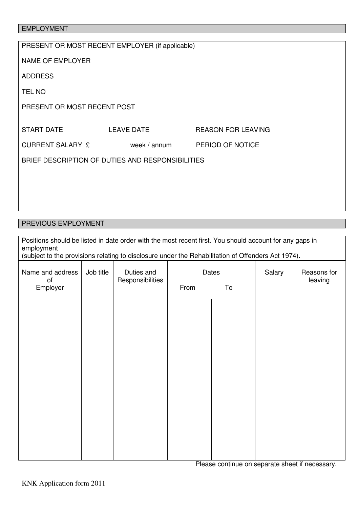# EMPLOYMENT

# PREVIOUS EMPLOYMENT

| Positions should be listed in date order with the most recent first. You should account for any gaps in<br>employment<br>(subject to the provisions relating to disclosure under the Rehabilitation of Offenders Act 1974). |           |                                |                     |  |        |                        |
|-----------------------------------------------------------------------------------------------------------------------------------------------------------------------------------------------------------------------------|-----------|--------------------------------|---------------------|--|--------|------------------------|
| Name and address<br>of<br>Employer                                                                                                                                                                                          | Job title | Duties and<br>Responsibilities | Dates<br>From<br>To |  | Salary | Reasons for<br>leaving |
|                                                                                                                                                                                                                             |           |                                |                     |  |        |                        |
|                                                                                                                                                                                                                             |           |                                |                     |  |        |                        |
|                                                                                                                                                                                                                             |           |                                |                     |  |        |                        |
|                                                                                                                                                                                                                             |           |                                |                     |  |        |                        |
|                                                                                                                                                                                                                             |           |                                |                     |  |        |                        |
|                                                                                                                                                                                                                             |           |                                |                     |  |        |                        |

Please continue on separate sheet if necessary.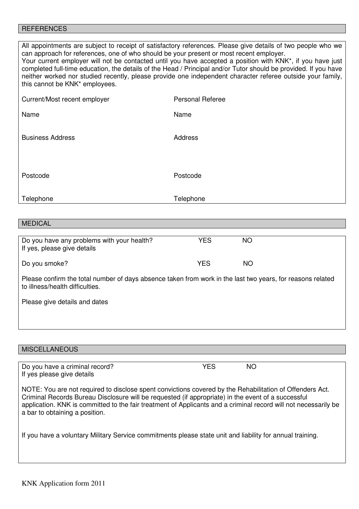#### **REFERENCES**

All appointments are subject to receipt of satisfactory references. Please give details of two people who we can approach for references, one of who should be your present or most recent employer.

Your current employer will not be contacted until you have accepted a position with KNK\*, if you have just completed full-time education, the details of the Head / Principal and/or Tutor should be provided. If you have neither worked nor studied recently, please provide one independent character referee outside your family, this cannot be KNK\* employees.

| Current/Most recent employer | <b>Personal Referee</b> |
|------------------------------|-------------------------|
| Name                         | Name                    |
|                              |                         |
| <b>Business Address</b>      | Address                 |
|                              |                         |
| Postcode                     | Postcode                |
|                              |                         |
| Telephone                    | Telephone               |

#### MEDICAL

| Do you have any problems with your health?<br>If yes, please give details | YES | NΟ |  |
|---------------------------------------------------------------------------|-----|----|--|
| Do you smoke?                                                             | YES | ΝO |  |

Please confirm the total number of days absence taken from work in the last two years, for reasons related to illness/health difficulties.

Please give details and dates

#### **MISCELLANEOUS**

Do you have a criminal record? 
WES
NO If yes please give details

NOTE: You are not required to disclose spent convictions covered by the Rehabilitation of Offenders Act. Criminal Records Bureau Disclosure will be requested (if appropriate) in the event of a successful application. KNK is committed to the fair treatment of Applicants and a criminal record will not necessarily be a bar to obtaining a position.

If you have a voluntary Military Service commitments please state unit and liability for annual training.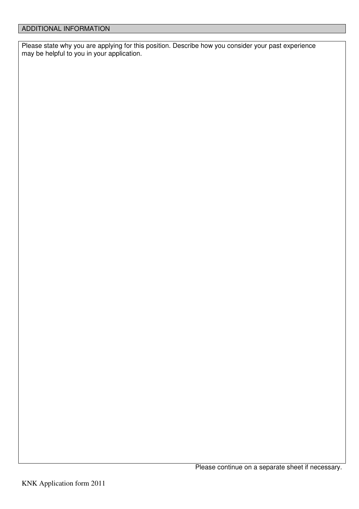Please state why you are applying for this position. Describe how you consider your past experience may be helpful to you in your application.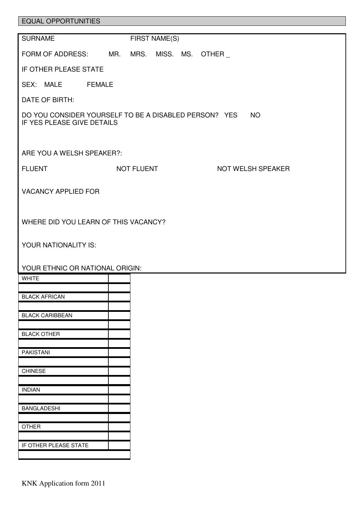| <b>EQUAL OPPORTUNITIES</b>           |                                                          |  |  |  |  |
|--------------------------------------|----------------------------------------------------------|--|--|--|--|
| <b>SURNAME</b>                       | FIRST NAME(S)                                            |  |  |  |  |
| FORM OF ADDRESS: MR.                 | MRS.<br>MISS. MS.<br><b>OTHER</b>                        |  |  |  |  |
| IF OTHER PLEASE STATE                |                                                          |  |  |  |  |
| SEX: MALE<br><b>FEMALE</b>           |                                                          |  |  |  |  |
| DATE OF BIRTH:                       |                                                          |  |  |  |  |
| IF YES PLEASE GIVE DETAILS           | DO YOU CONSIDER YOURSELF TO BE A DISABLED PERSON? YES NO |  |  |  |  |
| ARE YOU A WELSH SPEAKER?:            |                                                          |  |  |  |  |
| <b>FLUENT</b>                        | NOT FLUENT<br>NOT WELSH SPEAKER                          |  |  |  |  |
| <b>VACANCY APPLIED FOR</b>           |                                                          |  |  |  |  |
| WHERE DID YOU LEARN OF THIS VACANCY? |                                                          |  |  |  |  |
| YOUR NATIONALITY IS:                 |                                                          |  |  |  |  |
| YOUR ETHNIC OR NATIONAL ORIGIN:      |                                                          |  |  |  |  |
| <b>WHITE</b>                         |                                                          |  |  |  |  |
| <b>BLACK AFRICAN</b>                 |                                                          |  |  |  |  |
| <b>BLACK CARIBBEAN</b>               |                                                          |  |  |  |  |
| <b>BLACK OTHER</b>                   |                                                          |  |  |  |  |
| <b>PAKISTANI</b>                     |                                                          |  |  |  |  |
|                                      |                                                          |  |  |  |  |
| <b>CHINESE</b>                       |                                                          |  |  |  |  |
| <b>INDIAN</b>                        |                                                          |  |  |  |  |
| <b>BANGLADESHI</b>                   |                                                          |  |  |  |  |
| <b>OTHER</b>                         |                                                          |  |  |  |  |
|                                      |                                                          |  |  |  |  |
| IF OTHER PLEASE STATE                |                                                          |  |  |  |  |